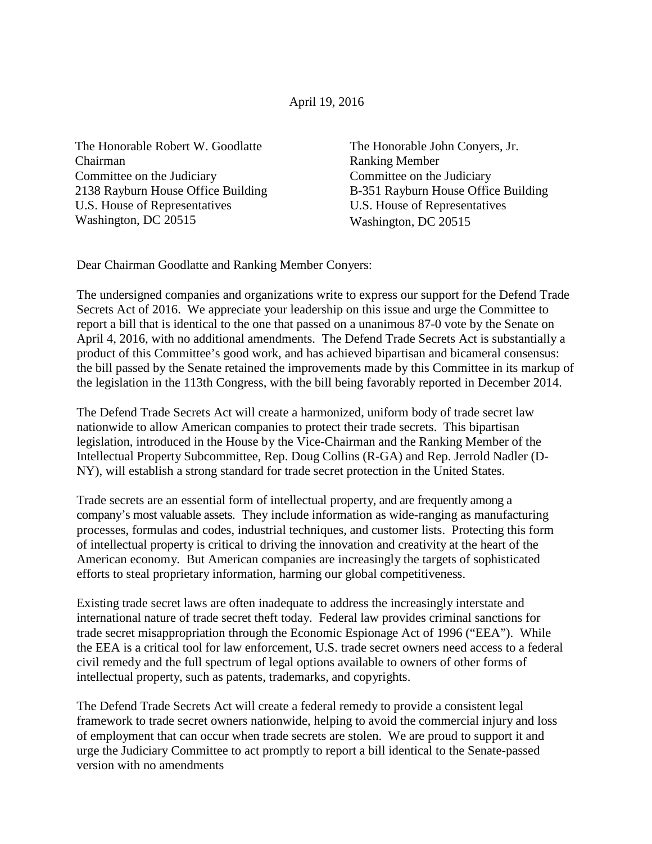## April 19, 2016

The Honorable Robert W. Goodlatte Chairman Committee on the Judiciary 2138 Rayburn House Office Building U.S. House of Representatives Washington, DC 20515

The Honorable John Conyers, Jr. Ranking Member Committee on the Judiciary B-351 Rayburn House Office Building U.S. House of Representatives Washington, DC 20515

Dear Chairman Goodlatte and Ranking Member Conyers:

The undersigned companies and organizations write to express our support for the Defend Trade Secrets Act of 2016. We appreciate your leadership on this issue and urge the Committee to report a bill that is identical to the one that passed on a unanimous 87-0 vote by the Senate on April 4, 2016, with no additional amendments. The Defend Trade Secrets Act is substantially a product of this Committee's good work, and has achieved bipartisan and bicameral consensus: the bill passed by the Senate retained the improvements made by this Committee in its markup of the legislation in the 113th Congress, with the bill being favorably reported in December 2014.

The Defend Trade Secrets Act will create a harmonized, uniform body of trade secret law nationwide to allow American companies to protect their trade secrets. This bipartisan legislation, introduced in the House by the Vice-Chairman and the Ranking Member of the Intellectual Property Subcommittee, Rep. Doug Collins (R-GA) and Rep. Jerrold Nadler (D-NY), will establish a strong standard for trade secret protection in the United States.

Trade secrets are an essential form of intellectual property, and are frequently among a company's most valuable assets. They include information as wide-ranging as manufacturing processes, formulas and codes, industrial techniques, and customer lists. Protecting this form of intellectual property is critical to driving the innovation and creativity at the heart of the American economy. But American companies are increasingly the targets of sophisticated efforts to steal proprietary information, harming our global competitiveness.

Existing trade secret laws are often inadequate to address the increasingly interstate and international nature of trade secret theft today. Federal law provides criminal sanctions for trade secret misappropriation through the Economic Espionage Act of 1996 ("EEA"). While the EEA is a critical tool for law enforcement, U.S. trade secret owners need access to a federal civil remedy and the full spectrum of legal options available to owners of other forms of intellectual property, such as patents, trademarks, and copyrights.

The Defend Trade Secrets Act will create a federal remedy to provide a consistent legal framework to trade secret owners nationwide, helping to avoid the commercial injury and loss of employment that can occur when trade secrets are stolen. We are proud to support it and urge the Judiciary Committee to act promptly to report a bill identical to the Senate-passed version with no amendments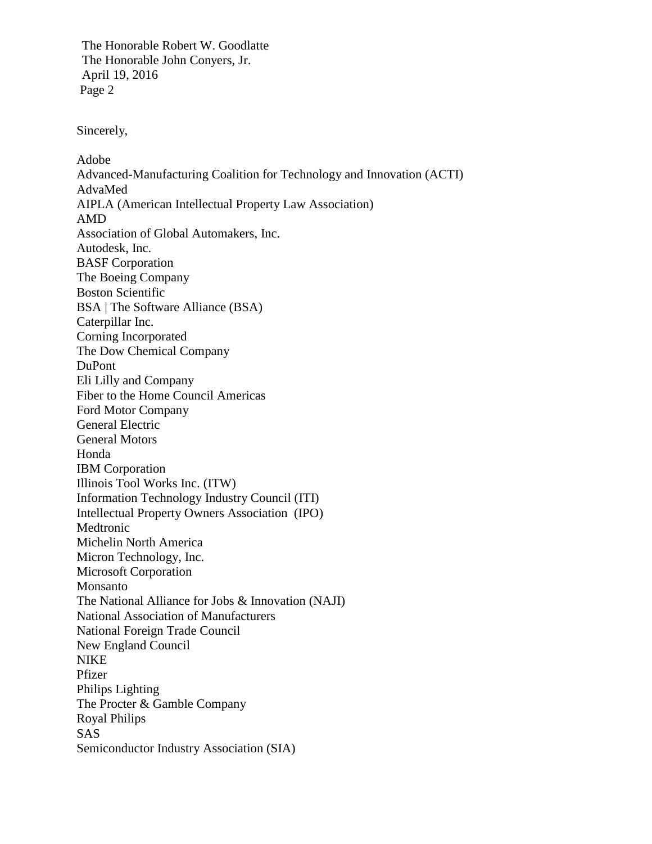The Honorable Robert W. Goodlatte The Honorable John Conyers, Jr. April 19, 2016 Page 2

Sincerely,

Adobe Advanced-Manufacturing Coalition for Technology and Innovation (ACTI) AdvaMed AIPLA (American Intellectual Property Law Association) AMD Association of Global Automakers, Inc. Autodesk, Inc. BASF Corporation The Boeing Company Boston Scientific BSA | The Software Alliance (BSA) Caterpillar Inc. Corning Incorporated The Dow Chemical Company DuPont Eli Lilly and Company Fiber to the Home Council Americas Ford Motor Company General Electric General Motors Honda IBM Corporation Illinois Tool Works Inc. (ITW) Information Technology Industry Council (ITI) Intellectual Property Owners Association (IPO) Medtronic Michelin North America Micron Technology, Inc. Microsoft Corporation Monsanto The National Alliance for Jobs & Innovation (NAJI) National Association of Manufacturers National Foreign Trade Council New England Council NIKE Pfizer Philips Lighting The Procter & Gamble Company Royal Philips SAS Semiconductor Industry Association (SIA)